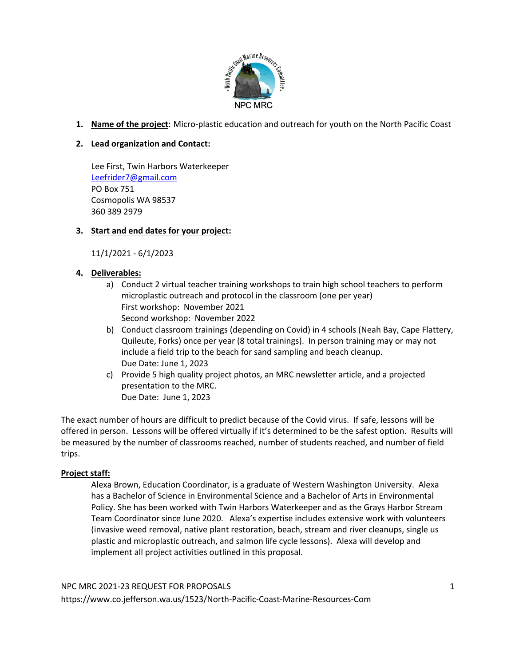

**1. Name of the project**: Micro-plastic education and outreach for youth on the North Pacific Coast

# **2. Lead organization and Contact:**

Lee First, Twin Harbors Waterkeeper Leefrider7@gmail.com PO Box 751 Cosmopolis WA 98537 360 389 2979

## **3. Start and end dates for your project:**

11/1/2021 - 6/1/2023

## **4. Deliverables:**

- a) Conduct 2 virtual teacher training workshops to train high school teachers to perform microplastic outreach and protocol in the classroom (one per year) First workshop: November 2021 Second workshop: November 2022
- b) Conduct classroom trainings (depending on Covid) in 4 schools (Neah Bay, Cape Flattery, Quileute, Forks) once per year (8 total trainings). In person training may or may not include a field trip to the beach for sand sampling and beach cleanup. Due Date: June 1, 2023
- c) Provide 5 high quality project photos, an MRC newsletter article, and a projected presentation to the MRC. Due Date: June 1, 2023

The exact number of hours are difficult to predict because of the Covid virus. If safe, lessons will be offered in person. Lessons will be offered virtually if it's determined to be the safest option. Results will be measured by the number of classrooms reached, number of students reached, and number of field trips.

### **Project staff:**

Alexa Brown, Education Coordinator, is a graduate of Western Washington University. Alexa has a Bachelor of Science in Environmental Science and a Bachelor of Arts in Environmental Policy. She has been worked with Twin Harbors Waterkeeper and as the Grays Harbor Stream Team Coordinator since June 2020. Alexa's expertise includes extensive work with volunteers (invasive weed removal, native plant restoration, beach, stream and river cleanups, single us plastic and microplastic outreach, and salmon life cycle lessons). Alexa will develop and implement all project activities outlined in this proposal.

### NPC MRC 2021-23 REQUEST FOR PROPOSALS

https://www.co.jefferson.wa.us/1523/North-Pacific-Coast-Marine-Resources-Com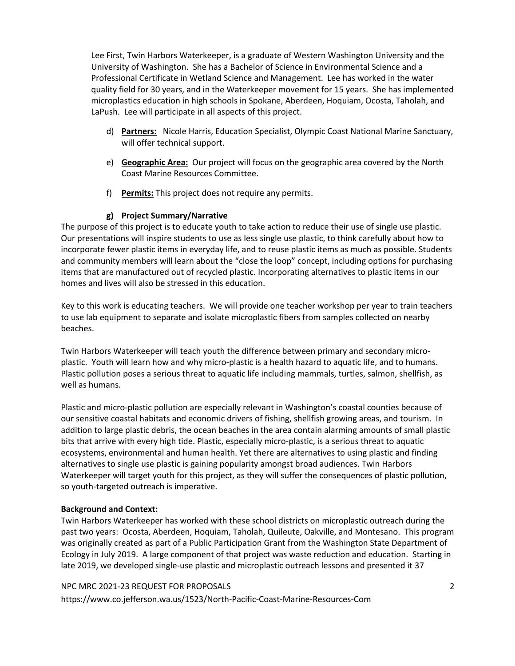Lee First, Twin Harbors Waterkeeper, is a graduate of Western Washington University and the University of Washington. She has a Bachelor of Science in Environmental Science and a Professional Certificate in Wetland Science and Management. Lee has worked in the water quality field for 30 years, and in the Waterkeeper movement for 15 years. She has implemented microplastics education in high schools in Spokane, Aberdeen, Hoquiam, Ocosta, Taholah, and LaPush. Lee will participate in all aspects of this project.

- d) **Partners:** Nicole Harris, Education Specialist, Olympic Coast National Marine Sanctuary, will offer technical support.
- e) **Geographic Area:** Our project will focus on the geographic area covered by the North Coast Marine Resources Committee.
- f) **Permits:** This project does not require any permits.

### **g) Project Summary/Narrative**

The purpose of this project is to educate youth to take action to reduce their use of single use plastic. Our presentations will inspire students to use as less single use plastic, to think carefully about how to incorporate fewer plastic items in everyday life, and to reuse plastic items as much as possible. Students and community members will learn about the "close the loop" concept, including options for purchasing items that are manufactured out of recycled plastic. Incorporating alternatives to plastic items in our homes and lives will also be stressed in this education.

Key to this work is educating teachers. We will provide one teacher workshop per year to train teachers to use lab equipment to separate and isolate microplastic fibers from samples collected on nearby beaches.

Twin Harbors Waterkeeper will teach youth the difference between primary and secondary microplastic. Youth will learn how and why micro-plastic is a health hazard to aquatic life, and to humans. Plastic pollution poses a serious threat to aquatic life including mammals, turtles, salmon, shellfish, as well as humans.

Plastic and micro-plastic pollution are especially relevant in Washington's coastal counties because of our sensitive coastal habitats and economic drivers of fishing, shellfish growing areas, and tourism. In addition to large plastic debris, the ocean beaches in the area contain alarming amounts of small plastic bits that arrive with every high tide. Plastic, especially micro-plastic, is a serious threat to aquatic ecosystems, environmental and human health. Yet there are alternatives to using plastic and finding alternatives to single use plastic is gaining popularity amongst broad audiences. Twin Harbors Waterkeeper will target youth for this project, as they will suffer the consequences of plastic pollution, so youth-targeted outreach is imperative.

### **Background and Context:**

Twin Harbors Waterkeeper has worked with these school districts on microplastic outreach during the past two years: Ocosta, Aberdeen, Hoquiam, Taholah, Quileute, Oakville, and Montesano. This program was originally created as part of a Public Participation Grant from the Washington State Department of Ecology in July 2019. A large component of that project was waste reduction and education. Starting in late 2019, we developed single-use plastic and microplastic outreach lessons and presented it 37

### NPC MRC 2021-23 REQUEST FOR PROPOSALS

https://www.co.jefferson.wa.us/1523/North-Pacific-Coast-Marine-Resources-Com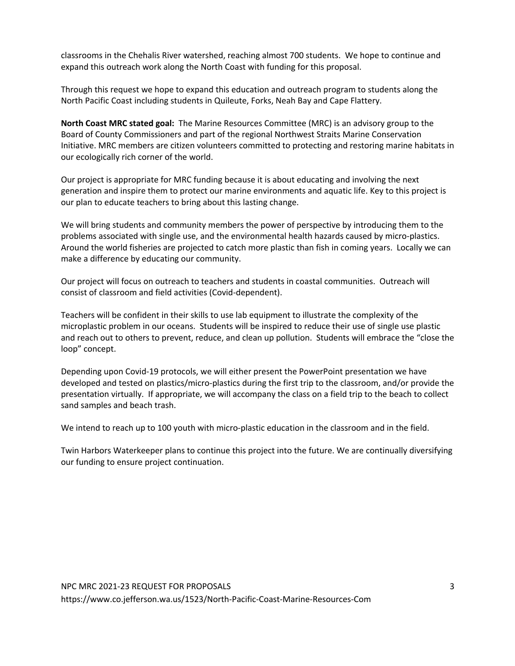classrooms in the Chehalis River watershed, reaching almost 700 students. We hope to continue and expand this outreach work along the North Coast with funding for this proposal.

Through this request we hope to expand this education and outreach program to students along the North Pacific Coast including students in Quileute, Forks, Neah Bay and Cape Flattery.

**North Coast MRC stated goal:** The Marine Resources Committee (MRC) is an advisory group to the Board of County Commissioners and part of the regional Northwest Straits Marine Conservation Initiative. MRC members are citizen volunteers committed to protecting and restoring marine habitats in our ecologically rich corner of the world.

Our project is appropriate for MRC funding because it is about educating and involving the next generation and inspire them to protect our marine environments and aquatic life. Key to this project is our plan to educate teachers to bring about this lasting change.

We will bring students and community members the power of perspective by introducing them to the problems associated with single use, and the environmental health hazards caused by micro-plastics. Around the world fisheries are projected to catch more plastic than fish in coming years. Locally we can make a difference by educating our community.

Our project will focus on outreach to teachers and students in coastal communities. Outreach will consist of classroom and field activities (Covid-dependent).

Teachers will be confident in their skills to use lab equipment to illustrate the complexity of the microplastic problem in our oceans. Students will be inspired to reduce their use of single use plastic and reach out to others to prevent, reduce, and clean up pollution. Students will embrace the "close the loop" concept.

Depending upon Covid-19 protocols, we will either present the PowerPoint presentation we have developed and tested on plastics/micro-plastics during the first trip to the classroom, and/or provide the presentation virtually. If appropriate, we will accompany the class on a field trip to the beach to collect sand samples and beach trash.

We intend to reach up to 100 youth with micro-plastic education in the classroom and in the field.

Twin Harbors Waterkeeper plans to continue this project into the future. We are continually diversifying our funding to ensure project continuation.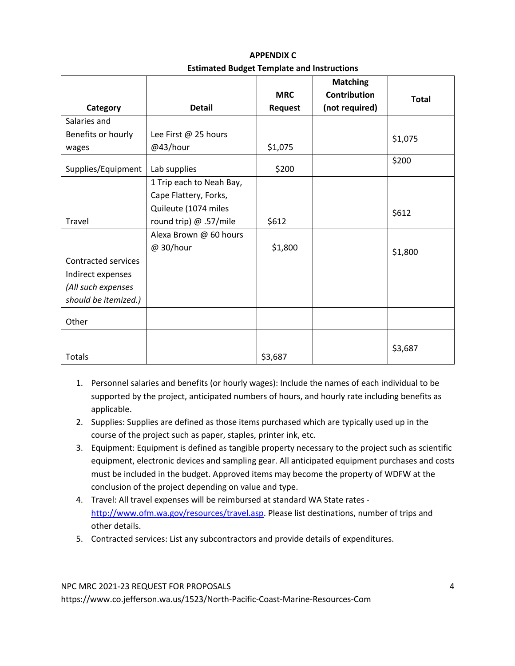|                      |                          |                | <b>Matching</b>     |              |
|----------------------|--------------------------|----------------|---------------------|--------------|
|                      |                          | <b>MRC</b>     | <b>Contribution</b> | <b>Total</b> |
| Category             | <b>Detail</b>            | <b>Request</b> | (not required)      |              |
| Salaries and         |                          |                |                     |              |
| Benefits or hourly   | Lee First @ 25 hours     |                |                     | \$1,075      |
| wages                | @43/hour                 | \$1,075        |                     |              |
| Supplies/Equipment   | Lab supplies             | \$200          |                     | \$200        |
|                      | 1 Trip each to Neah Bay, |                |                     |              |
|                      | Cape Flattery, Forks,    |                |                     |              |
|                      | Quileute (1074 miles     |                |                     | \$612        |
| <b>Travel</b>        | round trip) @ .57/mile   | \$612          |                     |              |
|                      | Alexa Brown @ 60 hours   |                |                     |              |
|                      | @ 30/hour                | \$1,800        |                     | \$1,800      |
| Contracted services  |                          |                |                     |              |
| Indirect expenses    |                          |                |                     |              |
| (All such expenses   |                          |                |                     |              |
| should be itemized.) |                          |                |                     |              |
| Other                |                          |                |                     |              |
| Totals               |                          | \$3,687        |                     | \$3,687      |

**APPENDIX C Estimated Budget Template and Instructions**

- 1. Personnel salaries and benefits (or hourly wages): Include the names of each individual to be supported by the project, anticipated numbers of hours, and hourly rate including benefits as applicable.
- 2. Supplies: Supplies are defined as those items purchased which are typically used up in the course of the project such as paper, staples, printer ink, etc.
- 3. Equipment: Equipment is defined as tangible property necessary to the project such as scientific equipment, electronic devices and sampling gear. All anticipated equipment purchases and costs must be included in the budget. Approved items may become the property of WDFW at the conclusion of the project depending on value and type.
- 4. Travel: All travel expenses will be reimbursed at standard WA State rates http://www.ofm.wa.gov/resources/travel.asp. Please list destinations, number of trips and other details.
- 5. Contracted services: List any subcontractors and provide details of expenditures.

NPC MRC 2021-23 REQUEST FOR PROPOSALS

https://www.co.jefferson.wa.us/1523/North-Pacific-Coast-Marine-Resources-Com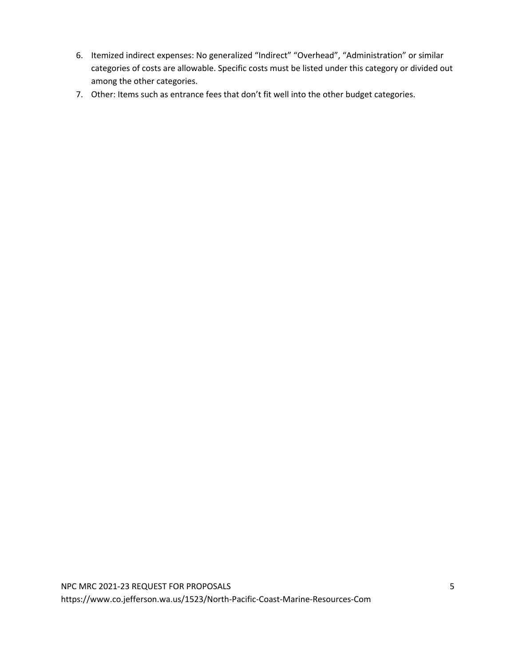- 6. Itemized indirect expenses: No generalized "Indirect" "Overhead", "Administration" or similar categories of costs are allowable. Specific costs must be listed under this category or divided out among the other categories.
- 7. Other: Items such as entrance fees that don't fit well into the other budget categories.